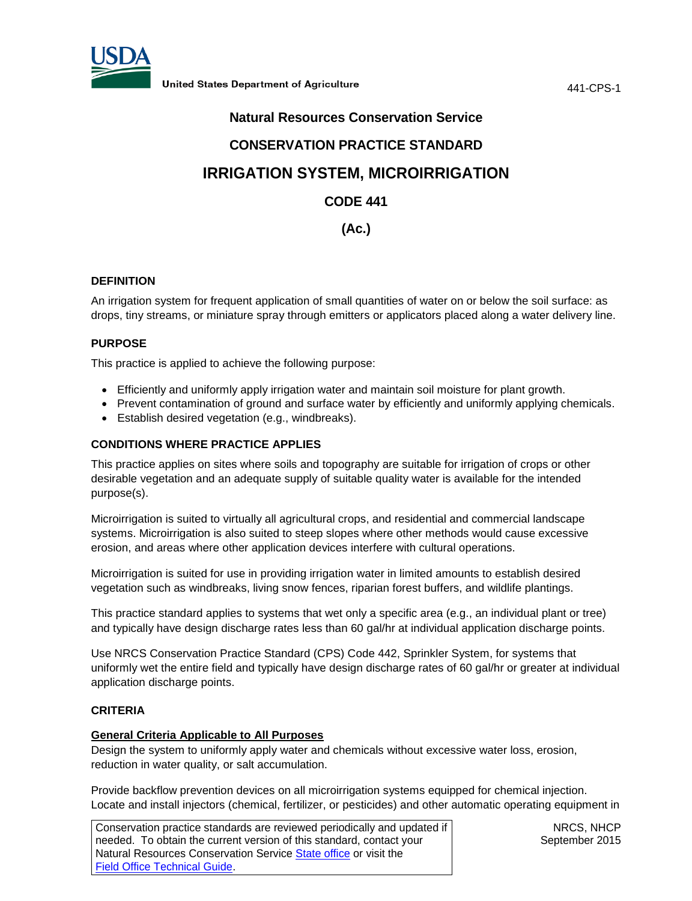

441-CPS-1

# **Natural Resources Conservation Service**

# **CONSERVATION PRACTICE STANDARD**

# **IRRIGATION SYSTEM, MICROIRRIGATION**

### **CODE 441**

# **(Ac.)**

### **DEFINITION**

An irrigation system for frequent application of small quantities of water on or below the soil surface: as drops, tiny streams, or miniature spray through emitters or applicators placed along a water delivery line.

### **PURPOSE**

This practice is applied to achieve the following purpose:

- Efficiently and uniformly apply irrigation water and maintain soil moisture for plant growth.
- Prevent contamination of ground and surface water by efficiently and uniformly applying chemicals.
- Establish desired vegetation (e.g., windbreaks).

### **CONDITIONS WHERE PRACTICE APPLIES**

This practice applies on sites where soils and topography are suitable for irrigation of crops or other desirable vegetation and an adequate supply of suitable quality water is available for the intended purpose(s).

Microirrigation is suited to virtually all agricultural crops, and residential and commercial landscape systems. Microirrigation is also suited to steep slopes where other methods would cause excessive erosion, and areas where other application devices interfere with cultural operations.

Microirrigation is suited for use in providing irrigation water in limited amounts to establish desired vegetation such as windbreaks, living snow fences, riparian forest buffers, and wildlife plantings.

This practice standard applies to systems that wet only a specific area (e.g., an individual plant or tree) and typically have design discharge rates less than 60 gal/hr at individual application discharge points.

Use NRCS Conservation Practice Standard (CPS) Code 442, Sprinkler System, for systems that uniformly wet the entire field and typically have design discharge rates of 60 gal/hr or greater at individual application discharge points.

### **CRITERIA**

### **General Criteria Applicable to All Purposes**

Design the system to uniformly apply water and chemicals without excessive water loss, erosion, reduction in water quality, or salt accumulation.

Provide backflow prevention devices on all microirrigation systems equipped for chemical injection. Locate and install injectors (chemical, fertilizer, or pesticides) and other automatic operating equipment in

Conservation practice standards are reviewed periodically and updated if needed. To obtain the current version of this standard, contact your Natural Resources Conservation Service [State office](http://www.nrcs.usda.gov/wps/portal/nrcs/sitenav/national/states/) or visit the [Field Office Technical Guide.](http://www.nrcs.usda.gov/wps/portal/nrcs/main/national/technical/fotg/)

NRCS, NHCP September 2015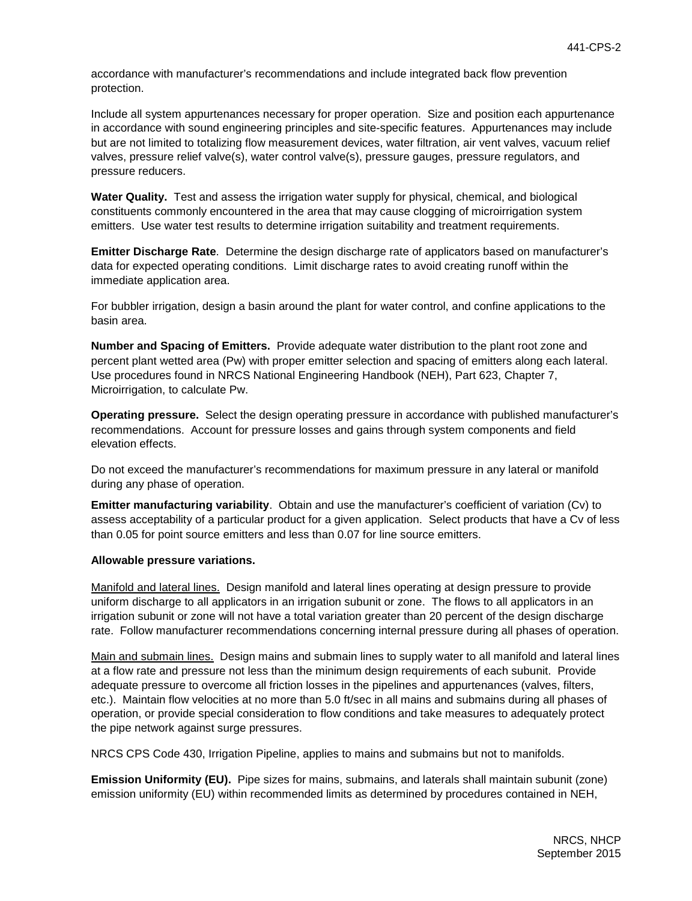accordance with manufacturer's recommendations and include integrated back flow prevention protection.

Include all system appurtenances necessary for proper operation. Size and position each appurtenance in accordance with sound engineering principles and site-specific features. Appurtenances may include but are not limited to totalizing flow measurement devices, water filtration, air vent valves, vacuum relief valves, pressure relief valve(s), water control valve(s), pressure gauges, pressure regulators, and pressure reducers.

**Water Quality.** Test and assess the irrigation water supply for physical, chemical, and biological constituents commonly encountered in the area that may cause clogging of microirrigation system emitters. Use water test results to determine irrigation suitability and treatment requirements.

**Emitter Discharge Rate**. Determine the design discharge rate of applicators based on manufacturer's data for expected operating conditions. Limit discharge rates to avoid creating runoff within the immediate application area.

For bubbler irrigation, design a basin around the plant for water control, and confine applications to the basin area.

**Number and Spacing of Emitters.** Provide adequate water distribution to the plant root zone and percent plant wetted area (Pw) with proper emitter selection and spacing of emitters along each lateral. Use procedures found in NRCS National Engineering Handbook (NEH), Part 623, Chapter 7, Microirrigation, to calculate Pw.

**Operating pressure.** Select the design operating pressure in accordance with published manufacturer's recommendations. Account for pressure losses and gains through system components and field elevation effects.

Do not exceed the manufacturer's recommendations for maximum pressure in any lateral or manifold during any phase of operation.

**Emitter manufacturing variability**. Obtain and use the manufacturer's coefficient of variation (Cv) to assess acceptability of a particular product for a given application. Select products that have a Cv of less than 0.05 for point source emitters and less than 0.07 for line source emitters.

### **Allowable pressure variations.**

Manifold and lateral lines. Design manifold and lateral lines operating at design pressure to provide uniform discharge to all applicators in an irrigation subunit or zone. The flows to all applicators in an irrigation subunit or zone will not have a total variation greater than 20 percent of the design discharge rate. Follow manufacturer recommendations concerning internal pressure during all phases of operation.

Main and submain lines. Design mains and submain lines to supply water to all manifold and lateral lines at a flow rate and pressure not less than the minimum design requirements of each subunit. Provide adequate pressure to overcome all friction losses in the pipelines and appurtenances (valves, filters, etc.). Maintain flow velocities at no more than 5.0 ft/sec in all mains and submains during all phases of operation, or provide special consideration to flow conditions and take measures to adequately protect the pipe network against surge pressures.

NRCS CPS Code 430, Irrigation Pipeline, applies to mains and submains but not to manifolds.

**Emission Uniformity (EU).** Pipe sizes for mains, submains, and laterals shall maintain subunit (zone) emission uniformity (EU) within recommended limits as determined by procedures contained in NEH,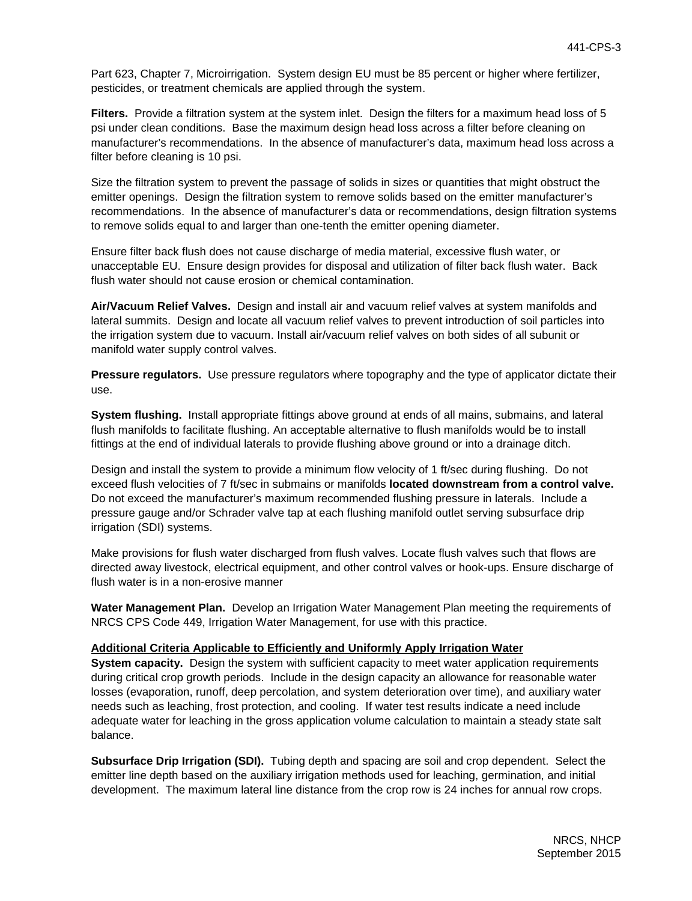Part 623, Chapter 7, Microirrigation. System design EU must be 85 percent or higher where fertilizer, pesticides, or treatment chemicals are applied through the system.

**Filters.** Provide a filtration system at the system inlet. Design the filters for a maximum head loss of 5 psi under clean conditions. Base the maximum design head loss across a filter before cleaning on manufacturer's recommendations. In the absence of manufacturer's data, maximum head loss across a filter before cleaning is 10 psi.

Size the filtration system to prevent the passage of solids in sizes or quantities that might obstruct the emitter openings. Design the filtration system to remove solids based on the emitter manufacturer's recommendations. In the absence of manufacturer's data or recommendations, design filtration systems to remove solids equal to and larger than one-tenth the emitter opening diameter.

Ensure filter back flush does not cause discharge of media material, excessive flush water, or unacceptable EU. Ensure design provides for disposal and utilization of filter back flush water. Back flush water should not cause erosion or chemical contamination.

**Air/Vacuum Relief Valves.** Design and install air and vacuum relief valves at system manifolds and lateral summits. Design and locate all vacuum relief valves to prevent introduction of soil particles into the irrigation system due to vacuum. Install air/vacuum relief valves on both sides of all subunit or manifold water supply control valves.

**Pressure regulators.** Use pressure regulators where topography and the type of applicator dictate their use.

**System flushing.** Install appropriate fittings above ground at ends of all mains, submains, and lateral flush manifolds to facilitate flushing. An acceptable alternative to flush manifolds would be to install fittings at the end of individual laterals to provide flushing above ground or into a drainage ditch.

Design and install the system to provide a minimum flow velocity of 1 ft/sec during flushing. Do not exceed flush velocities of 7 ft/sec in submains or manifolds **located downstream from a control valve.** Do not exceed the manufacturer's maximum recommended flushing pressure in laterals. Include a pressure gauge and/or Schrader valve tap at each flushing manifold outlet serving subsurface drip irrigation (SDI) systems.

Make provisions for flush water discharged from flush valves. Locate flush valves such that flows are directed away livestock, electrical equipment, and other control valves or hook-ups. Ensure discharge of flush water is in a non-erosive manner

**Water Management Plan.** Develop an Irrigation Water Management Plan meeting the requirements of NRCS CPS Code 449, Irrigation Water Management, for use with this practice.

### **Additional Criteria Applicable to Efficiently and Uniformly Apply Irrigation Water**

**System capacity.** Design the system with sufficient capacity to meet water application requirements during critical crop growth periods. Include in the design capacity an allowance for reasonable water losses (evaporation, runoff, deep percolation, and system deterioration over time), and auxiliary water needs such as leaching, frost protection, and cooling. If water test results indicate a need include adequate water for leaching in the gross application volume calculation to maintain a steady state salt balance.

**Subsurface Drip Irrigation (SDI).** Tubing depth and spacing are soil and crop dependent. Select the emitter line depth based on the auxiliary irrigation methods used for leaching, germination, and initial development. The maximum lateral line distance from the crop row is 24 inches for annual row crops.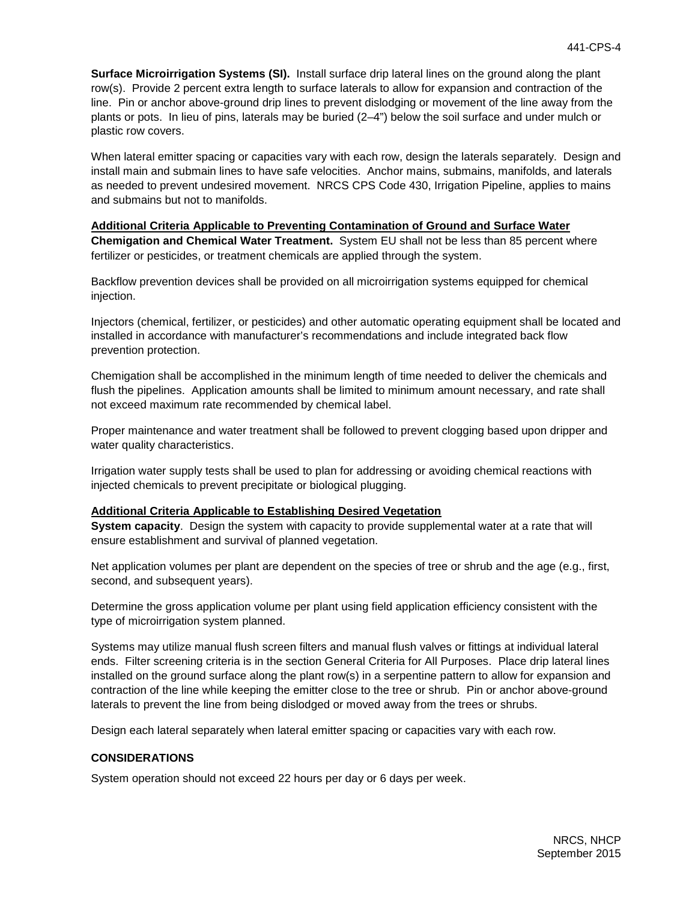**Surface Microirrigation Systems (SI).** Install surface drip lateral lines on the ground along the plant row(s). Provide 2 percent extra length to surface laterals to allow for expansion and contraction of the line. Pin or anchor above-ground drip lines to prevent dislodging or movement of the line away from the plants or pots. In lieu of pins, laterals may be buried (2–4") below the soil surface and under mulch or plastic row covers.

When lateral emitter spacing or capacities vary with each row, design the laterals separately. Design and install main and submain lines to have safe velocities. Anchor mains, submains, manifolds, and laterals as needed to prevent undesired movement. NRCS CPS Code 430, Irrigation Pipeline, applies to mains and submains but not to manifolds.

#### **Additional Criteria Applicable to Preventing Contamination of Ground and Surface Water**

**Chemigation and Chemical Water Treatment.** System EU shall not be less than 85 percent where fertilizer or pesticides, or treatment chemicals are applied through the system.

Backflow prevention devices shall be provided on all microirrigation systems equipped for chemical injection.

Injectors (chemical, fertilizer, or pesticides) and other automatic operating equipment shall be located and installed in accordance with manufacturer's recommendations and include integrated back flow prevention protection.

Chemigation shall be accomplished in the minimum length of time needed to deliver the chemicals and flush the pipelines. Application amounts shall be limited to minimum amount necessary, and rate shall not exceed maximum rate recommended by chemical label.

Proper maintenance and water treatment shall be followed to prevent clogging based upon dripper and water quality characteristics.

Irrigation water supply tests shall be used to plan for addressing or avoiding chemical reactions with injected chemicals to prevent precipitate or biological plugging.

### **Additional Criteria Applicable to Establishing Desired Vegetation**

**System capacity**. Design the system with capacity to provide supplemental water at a rate that will ensure establishment and survival of planned vegetation.

Net application volumes per plant are dependent on the species of tree or shrub and the age (e.g., first, second, and subsequent years).

Determine the gross application volume per plant using field application efficiency consistent with the type of microirrigation system planned.

Systems may utilize manual flush screen filters and manual flush valves or fittings at individual lateral ends. Filter screening criteria is in the section General Criteria for All Purposes. Place drip lateral lines installed on the ground surface along the plant row(s) in a serpentine pattern to allow for expansion and contraction of the line while keeping the emitter close to the tree or shrub. Pin or anchor above-ground laterals to prevent the line from being dislodged or moved away from the trees or shrubs.

Design each lateral separately when lateral emitter spacing or capacities vary with each row.

### **CONSIDERATIONS**

System operation should not exceed 22 hours per day or 6 days per week.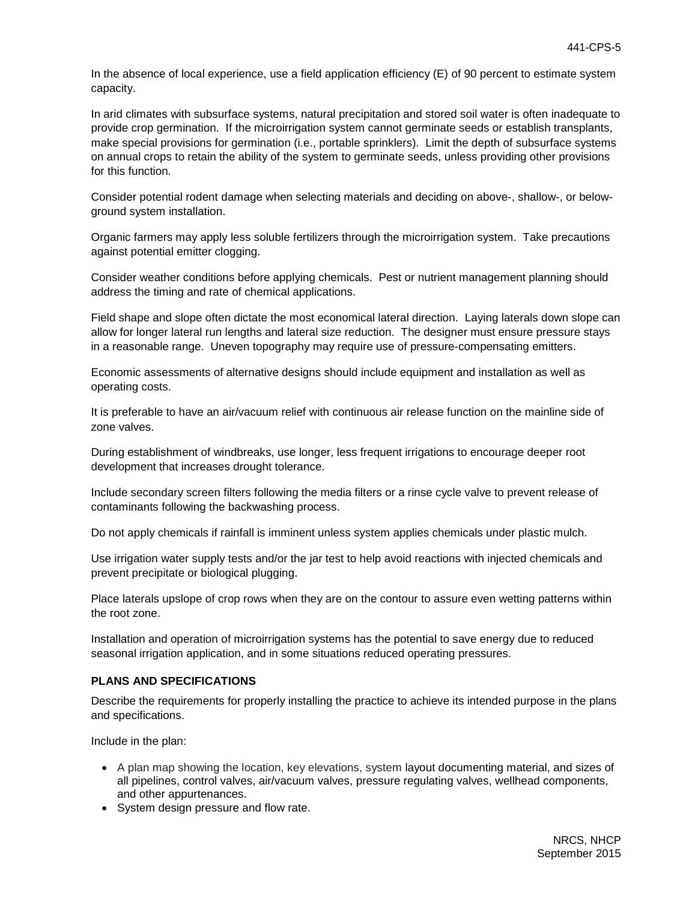In the absence of local experience, use a field application efficiency (E) of 90 percent to estimate system capacity.

In arid climates with subsurface systems, natural precipitation and stored soil water is often inadequate to provide crop germination. If the microirrigation system cannot germinate seeds or establish transplants, make special provisions for germination (i.e., portable sprinklers). Limit the depth of subsurface systems on annual crops to retain the ability of the system to germinate seeds, unless providing other provisions for this function.

Consider potential rodent damage when selecting materials and deciding on above-, shallow-, or belowground system installation.

Organic farmers may apply less soluble fertilizers through the microirrigation system. Take precautions against potential emitter clogging.

Consider weather conditions before applying chemicals. Pest or nutrient management planning should address the timing and rate of chemical applications.

Field shape and slope often dictate the most economical lateral direction. Laying laterals down slope can allow for longer lateral run lengths and lateral size reduction. The designer must ensure pressure stays in a reasonable range. Uneven topography may require use of pressure-compensating emitters.

Economic assessments of alternative designs should include equipment and installation as well as operating costs.

It is preferable to have an air/vacuum relief with continuous air release function on the mainline side of zone valves.

During establishment of windbreaks, use longer, less frequent irrigations to encourage deeper root development that increases drought tolerance.

Include secondary screen filters following the media filters or a rinse cycle valve to prevent release of contaminants following the backwashing process.

Do not apply chemicals if rainfall is imminent unless system applies chemicals under plastic mulch.

Use irrigation water supply tests and/or the jar test to help avoid reactions with injected chemicals and prevent precipitate or biological plugging.

Place laterals upslope of crop rows when they are on the contour to assure even wetting patterns within the root zone.

Installation and operation of microirrigation systems has the potential to save energy due to reduced seasonal irrigation application, and in some situations reduced operating pressures.

### **PLANS AND SPECIFICATIONS**

Describe the requirements for properly installing the practice to achieve its intended purpose in the plans and specifications.

Include in the plan:

- A plan map showing the location, key elevations, system layout documenting material, and sizes of all pipelines, control valves, air/vacuum valves, pressure regulating valves, wellhead components, and other appurtenances.
- System design pressure and flow rate.